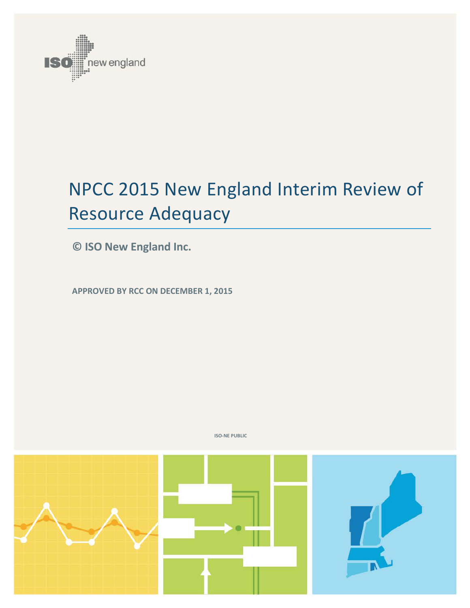

# NPCC 2015 New England Interim Review of Resource Adequacy

**© ISO New England Inc.**

**APPROVED BY RCC ON DECEMBER 1, 2015** 



**ISO-NE PUBLIC**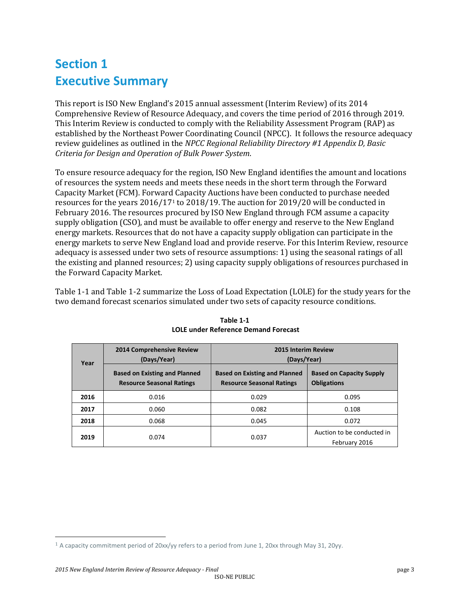# **Section 1 Executive Summary**

This report is ISO New England's 2015 annual assessment (Interim Review) of its 2014 Comprehensive Review of Resource Adequacy, and covers the time period of 2016 through 2019. This Interim Review is conducted to comply with the Reliability Assessment Program (RAP) as established by the Northeast Power Coordinating Council (NPCC). It follows the resource adequacy review guidelines as outlined in the *NPCC Regional Reliability Directory #1 Appendix D, Basic Criteria for Design and Operation of Bulk Power System*.

To ensure resource adequacy for the region, ISO New England identifies the amount and locations of resources the system needs and meets these needs in the short term through the Forward Capacity Market (FCM). Forwar[d](#page-2-1) Capacity Auctions have been conducted to purchase needed resources for the years 2016/171 to 2018/19. The auction for 2019/20 will be conducted in February 2016. The resources procured by ISO New England through FCM assume a capacity supply obligation (CSO), and must be available to offer energy and reserve to the New England energy markets. Resources that do not have a capacity supply obligation can participate in the energy markets to serve New England load and provide reserve. For this Interim Review, resource adequacy is assessed under two sets of resource assumptions: 1) using the seasonal ratings of all the existing and planned resources; 2) using capacity supply obligations of resources purchased in the Forward Capacity Market.

<span id="page-2-0"></span>[Table 1-1](#page-2-0) and Table 1-2 summarize the Loss of Load Expectation (LOLE) for the study years for the two demand forecast scenarios simulated under two sets of capacity resource conditions.

| Year | 2014 Comprehensive Review<br>(Days/Year)                                 | <b>2015 Interim Review</b><br>(Days/Year)                                |                                                       |
|------|--------------------------------------------------------------------------|--------------------------------------------------------------------------|-------------------------------------------------------|
|      | <b>Based on Existing and Planned</b><br><b>Resource Seasonal Ratings</b> | <b>Based on Existing and Planned</b><br><b>Resource Seasonal Ratings</b> | <b>Based on Capacity Supply</b><br><b>Obligations</b> |
| 2016 | 0.016                                                                    | 0.029                                                                    | 0.095                                                 |
| 2017 | 0.060                                                                    | 0.082                                                                    | 0.108                                                 |
| 2018 | 0.068                                                                    | 0.045                                                                    | 0.072                                                 |
| 2019 | 0.074                                                                    | 0.037                                                                    | Auction to be conducted in<br>February 2016           |

**Table 1-1 LOLE under Reference Demand Forecast**

<span id="page-2-1"></span> <sup>1</sup> A capacity commitment period of 20xx/yy refers to a period from June 1, 20xx through May 31, 20yy.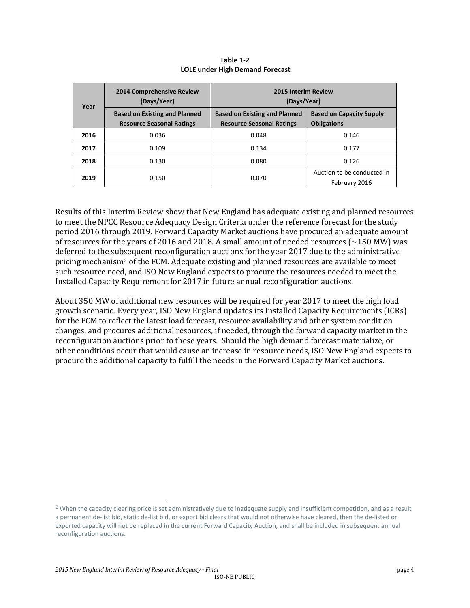| Year | 2014 Comprehensive Review<br>(Days/Year) | 2015 Interim Review<br>(Days/Year)   |                                             |
|------|------------------------------------------|--------------------------------------|---------------------------------------------|
|      | <b>Based on Existing and Planned</b>     | <b>Based on Existing and Planned</b> | <b>Based on Capacity Supply</b>             |
|      | <b>Resource Seasonal Ratings</b>         | <b>Resource Seasonal Ratings</b>     | <b>Obligations</b>                          |
| 2016 | 0.036                                    | 0.048                                | 0.146                                       |
| 2017 | 0.109                                    | 0.134                                | 0.177                                       |
| 2018 | 0.130                                    | 0.080                                | 0.126                                       |
| 2019 | 0.150                                    | 0.070                                | Auction to be conducted in<br>February 2016 |

**Table 1-2 LOLE under High Demand Forecast**

Results of this Interim Review show that New England has adequate existing and planned resources to meet the NPCC Resource Adequacy Design Criteria under the reference forecast for the study period 2016 through 2019. Forward Capacity Market auctions have procured an adequate amount of resources for the years of 2016 and 2018. A small amount of needed resources ( $\sim$ 150 MW) was deferred to the sub[s](#page-3-0)equent reconfiguration auctions for the year 2017 due to the administrative pricing mechanism2 of the FCM. Adequate existing and planned resources are available to meet such resource need, and ISO New England expects to procure the resources needed to meet the Installed Capacity Requirement for 2017 in future annual reconfiguration auctions.

About 350 MW of additional new resources will be required for year 2017 to meet the high load growth scenario. Every year, ISO New England updates its Installed Capacity Requirements (ICRs) for the FCM to reflect the latest load forecast, resource availability and other system condition changes, and procures additional resources, if needed, through the forward capacity market in the reconfiguration auctions prior to these years. Should the high demand forecast materialize, or other conditions occur that would cause an increase in resource needs, ISO New England expects to procure the additional capacity to fulfill the needs in the Forward Capacity Market auctions.

<span id="page-3-0"></span><sup>&</sup>lt;sup>2</sup> When the capacity clearing price is set administratively due to inadequate supply and insufficient competition, and as a result a permanent de-list bid, static de-list bid, or export bid clears that would not otherwise have cleared, then the de-listed or exported capacity will not be replaced in the current Forward Capacity Auction, and shall be included in subsequent annual reconfiguration auctions.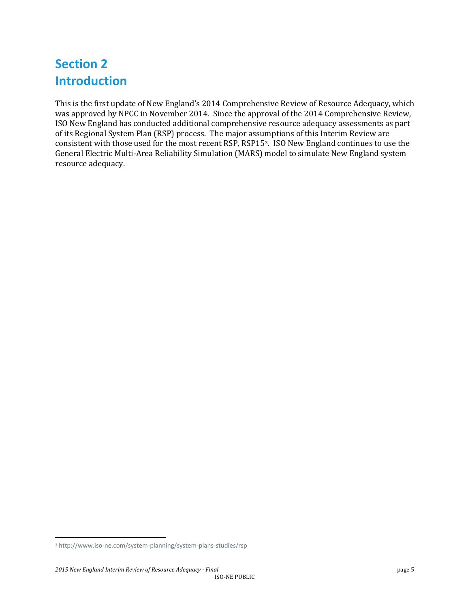# **Section 2 Introduction**

This is the first update of New England's 2014 Comprehensive Review of Resource Adequacy, which was approved by NPCC in November 2014. Since the approval of the 2014 Comprehensive Review, ISO New England has conducted additional comprehensive resource adequacy assessments as part of its Regional System Plan (RSP) process. The major assumptions of this Interim Review are consistent with those used for the most recent RSP, RSP15[3](#page-4-0). ISO New England continues to use the General Electric Multi-Area Reliability Simulation (MARS) model to simulate New England system resource adequacy.

<span id="page-4-0"></span>j *<sup>3</sup>* http://www.iso-ne.com/system-planning/system-plans-studies/rsp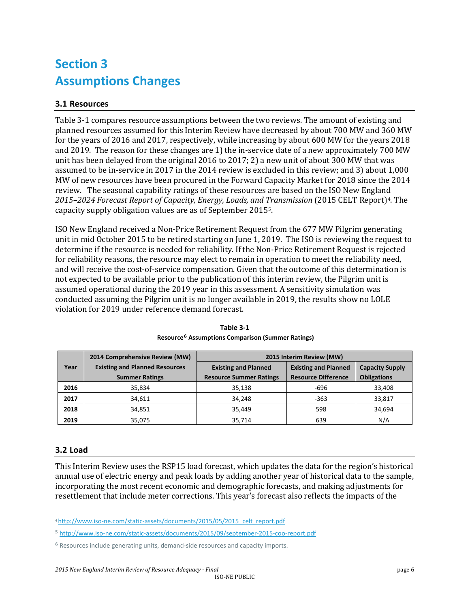# **Section 3 Assumptions Changes**

### **3.1 Resources**

Table 3-1 compares resource assumptions between the two reviews. The amount of existing and planned resources assumed for this Interim Review have decreased by about 700 MW and 360 MW for the years of 2016 and 2017, respectively, while increasing by about 600 MW for the years 2018 and 2019. The reason for these changes are 1) the in-service date of a new approximately 700 MW unit has been delayed from the original 2016 to 2017; 2) a new unit of about 300 MW that was assumed to be in-service in 2017 in the 2014 review is excluded in this review; and 3) about 1,000 MW of new resources have been procured in the Forward Capacity Market for 2018 since the 2014 review. The seasonal capability ratings of these resources are based on the ISO New England *2015–2024 Forecast Report of Capacity, Energy, Loads, and Transmission* (2015 CELT Report)[4.](#page-5-0) The capacity supply obligation values are as of September 2015[5.](#page-5-1)

ISO New England received a Non-Price Retirement Request from the 677 MW Pilgrim generating unit in mid October 2015 to be retired starting on June 1, 2019. The ISO is reviewing the request to determine if the resource is needed for reliability. If the Non-Price Retirement Request is rejected for reliability reasons, the resource may elect to remain in operation to meet the reliability need, and will receive the cost-of-service compensation. Given that the outcome of this determination is not expected to be available prior to the publication of this interim review, the Pilgrim unit is assumed operational during the 2019 year in this assessment. A sensitivity simulation was conducted assuming the Pilgrim unit is no longer available in 2019, the results show no LOLE violation for 2019 under reference demand forecast.

|      | 2014 Comprehensive Review (MW)        | 2015 Interim Review (MW)       |                             |                        |
|------|---------------------------------------|--------------------------------|-----------------------------|------------------------|
| Year | <b>Existing and Planned Resources</b> | <b>Existing and Planned</b>    | <b>Existing and Planned</b> | <b>Capacity Supply</b> |
|      | <b>Summer Ratings</b>                 | <b>Resource Summer Ratings</b> | <b>Resource Difference</b>  | <b>Obligations</b>     |
| 2016 | 35,834                                | 35,138                         | -696                        | 33,408                 |
| 2017 | 34,611                                | 34.248                         | $-363$                      | 33,817                 |
| 2018 | 34,851                                | 35.449                         | 598                         | 34,694                 |
| 2019 | 35,075                                | 35,714                         | 639                         | N/A                    |

**Table 3-1 Resource[6](#page-5-2) Assumptions Comparison (Summer Ratings)**

### **3.2 Load**

This Interim Review uses the RSP15 load forecast, which updates the data for the region's historical annual use of electric energy and peak loads by adding another year of historical data to the sample, incorporating the most recent economic and demographic forecasts, and making adjustments for resettlement that include meter corrections. This year's forecast also reflects the impacts of the

<span id="page-5-0"></span>j *<sup>4</sup>* [http://www.iso-ne.com/static-assets/documents/2015/05/2015\\_celt\\_report.pdf](http://www.iso-ne.com/static-assets/documents/2015/05/2015_celt_report.pdf)

<span id="page-5-1"></span><sup>5</sup> <http://www.iso-ne.com/static-assets/documents/2015/09/september-2015-coo-report.pdf>

<span id="page-5-2"></span><sup>6</sup> Resources include generating units, demand-side resources and capacity imports.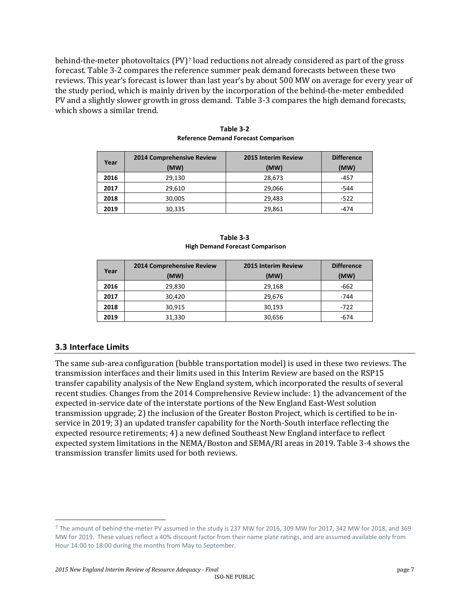behind-the-meter photovoltaics (PV)[7](#page-6-0) load reductions not already considered as part of the gross forecast. Table 3-2 compares the reference summer peak demand forecasts between these two reviews. This year's forecast is lower than last year's by about 500 MW on average for every year of the study period, which is mainly driven by the incorporation of the behind-the-meter embedded PV and a slightly slower growth in gross demand. Table 3-3 compares the high demand forecasts, which shows a similar trend.

| Year | 2014 Comprehensive Review<br>(MW) | 2015 Interim Review<br>(MW) | <b>Difference</b><br>(MW) |
|------|-----------------------------------|-----------------------------|---------------------------|
| 2016 | 29,130                            | 28,673                      | $-457$                    |
| 2017 | 29,610                            | 29,066                      | $-544$                    |
| 2018 | 30,005                            | 29,483                      | $-522$                    |
| 2019 | 30,335                            | 29,861                      | -474                      |

**Table 3-2 Reference Demand Forecast Comparison**

**Table 3-3 High Demand Forecast Comparison**

| Year | 2014 Comprehensive Review<br>(MW) | <b>2015 Interim Review</b><br>(MW) | <b>Difference</b><br>(MW) |
|------|-----------------------------------|------------------------------------|---------------------------|
| 2016 | 29,830                            | 29,168                             | $-662$                    |
| 2017 | 30,420                            | 29,676                             | $-744$                    |
| 2018 | 30,915                            | 30,193                             | -722                      |
| 2019 | 31,330                            | 30,656                             | -674                      |

#### **3.3 Interface Limits**

The same sub-area configuration (bubble transportation model) is used in these two reviews. The transmission interfaces and their limits used in this Interim Review are based on the RSP15 transfer capability analysis of the New England system, which incorporated the results of several recent studies. Changes from the 2014 Comprehensive Review include: 1) the advancement of the expected in-service date of the interstate portions of the New England East-West solution transmission upgrade; 2) the inclusion of the Greater Boston Project, which is certified to be inservice in 2019; 3) an updated transfer capability for the North-South interface reflecting the expected resource retirements; 4) a new defined Southeast New England interface to reflect expected system limitations in the NEMA/Boston and SEMA/RI areas in 2019. Table 3-4 shows the transmission transfer limits used for both reviews.

<span id="page-6-0"></span> <sup>7</sup> The amount of behind-the-meter PV assumed in the study is 237 MW for 2016, 309 MW for 2017, 342 MW for 2018, and 369 MW for 2019. These values reflect a 40% discount factor from their name plate ratings, and are assumed available only from Hour 14:00 to 18:00 during the months from May to September.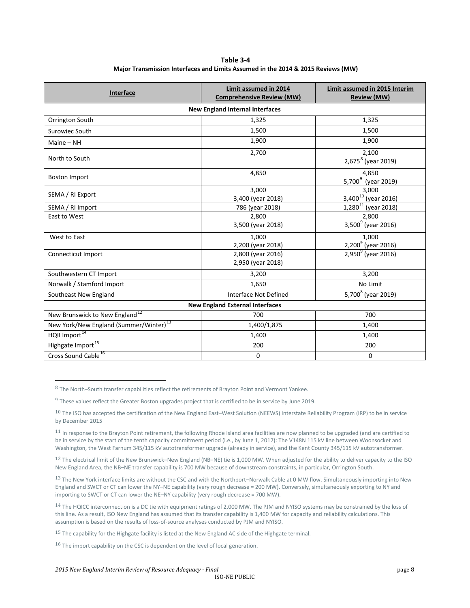**Table 3-4 Major Transmission Interfaces and Limits Assumed in the 2014 & 2015 Reviews (MW)**

| <b>Interface</b>                                   | Limit assumed in 2014<br><b>Comprehensive Review (MW)</b> | Limit assumed in 2015 Interim<br><b>Review (MW)</b> |  |  |  |
|----------------------------------------------------|-----------------------------------------------------------|-----------------------------------------------------|--|--|--|
| <b>New England Internal Interfaces</b>             |                                                           |                                                     |  |  |  |
| Orrington South                                    | 1,325                                                     | 1,325                                               |  |  |  |
| Surowiec South                                     | 1,500                                                     | 1,500                                               |  |  |  |
| Maine $-$ NH                                       | 1,900                                                     | 1,900                                               |  |  |  |
| North to South                                     | 2,700                                                     | 2,100<br>2,675 <sup>8</sup> (year 2019)             |  |  |  |
| <b>Boston Import</b>                               | 4,850                                                     | 4,850<br>5,700 <sup>9</sup> (year 2019)             |  |  |  |
| SEMA / RI Export                                   | 3.000<br>3,400 (year 2018)                                | 3,000<br>3,400 <sup>10</sup> (year 2016)            |  |  |  |
| SEMA / RI Import                                   | 786 (year 2018)                                           | $1,280^{11}$ (year 2018)                            |  |  |  |
| East to West                                       | 2.800<br>3,500 (year 2018)                                | 2,800<br>3,500 $^{9}$ (year 2016)                   |  |  |  |
| West to East                                       | 1,000<br>2,200 (year 2018)                                | 1,000<br>2,200 <sup>9</sup> (year 2016)             |  |  |  |
| Connecticut Import                                 | 2,800 (year 2016)<br>2,950 (year 2018)                    | 2,950 $^{9}$ (year 2016)                            |  |  |  |
| Southwestern CT Import                             | 3,200                                                     | 3,200                                               |  |  |  |
| Norwalk / Stamford Import                          | 1,650                                                     | No Limit                                            |  |  |  |
| Southeast New England                              | Interface Not Defined                                     | 5,700 <sup>8</sup> (year 2019)                      |  |  |  |
| <b>New England External Interfaces</b>             |                                                           |                                                     |  |  |  |
| New Brunswick to New England <sup>12</sup>         | 700                                                       | 700                                                 |  |  |  |
| New York/New England (Summer/Winter) <sup>13</sup> | 1,400/1,875                                               | 1,400                                               |  |  |  |
| HQII Import <sup>14</sup>                          | 1,400                                                     | 1,400                                               |  |  |  |
| Highgate Import <sup>15</sup>                      | 200                                                       | 200                                                 |  |  |  |
| Cross Sound Cable <sup>16</sup>                    | 0                                                         | 0                                                   |  |  |  |

<span id="page-7-0"></span> <sup>8</sup> The North–South transfer capabilities reflect the retirements of Brayton Point and Vermont Yankee.

<span id="page-7-1"></span><sup>&</sup>lt;sup>9</sup> These values reflect the Greater Boston upgrades project that is certified to be in service by June 2019.

<span id="page-7-2"></span> $10$  The ISO has accepted the certification of the New England East-West Solution (NEEWS) Interstate Reliability Program (IRP) to be in service by December 2015

<span id="page-7-3"></span> $11$  In response to the Brayton Point retirement, the following Rhode Island area facilities are now planned to be upgraded (and are certified to be in service by the start of the tenth capacity commitment period (i.e., by June 1, 2017): The V148N 115 kV line between Woonsocket and Washington, the West Farnum 345/115 kV autotransformer upgrade (already in service), and the Kent County 345/115 kV autotransformer.

<span id="page-7-4"></span> $12$  The electrical limit of the New Brunswick–New England (NB–NE) tie is 1,000 MW. When adjusted for the ability to deliver capacity to the ISO New England Area, the NB–NE transfer capability is 700 MW because of downstream constraints, in particular, Orrington South.

<span id="page-7-5"></span><sup>13</sup> The New York interface limits are without the CSC and with the Northport–Norwalk Cable at 0 MW flow. Simultaneously importing into New England and SWCT or CT can lower the NY–NE capability (very rough decrease = 200 MW). Conversely, simultaneously exporting to NY and importing to SWCT or CT can lower the NE–NY capability (very rough decrease = 700 MW).

<span id="page-7-6"></span><sup>&</sup>lt;sup>14</sup> The HQICC interconnection is a DC tie with equipment ratings of 2,000 MW. The PJM and NYISO systems may be constrained by the loss of this line. As a result, ISO New England has assumed that its transfer capability is 1,400 MW for capacity and reliability calculations. This assumption is based on the results of loss-of-source analyses conducted by PJM and NYISO.

<span id="page-7-7"></span> $15$  The capability for the Highgate facility is listed at the New England AC side of the Highgate terminal.

<span id="page-7-8"></span> $16$  The import capability on the CSC is dependent on the level of local generation.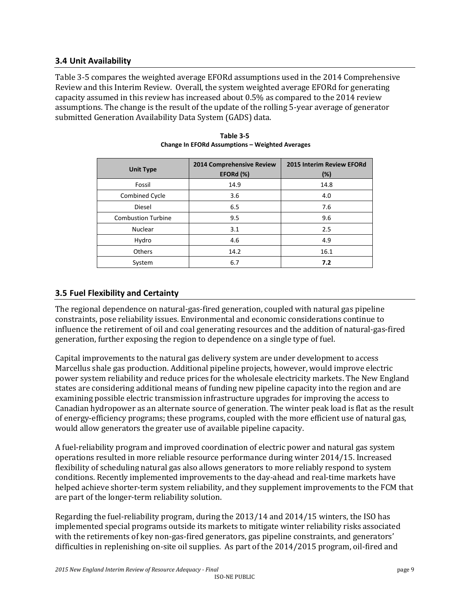#### **3.4 Unit Availability**

Table 3-5 compares the weighted average EFORd assumptions used in the 2014 Comprehensive Review and this Interim Review. Overall, the system weighted average EFORd for generating capacity assumed in this review has increased about 0.5% as compared to the 2014 review assumptions. The change is the result of the update of the rolling 5-year average of generator submitted Generation Availability Data System (GADS) data.

| <b>Unit Type</b>          | 2014 Comprehensive Review<br>EFORd (%) | 2015 Interim Review EFORd<br>(%) |
|---------------------------|----------------------------------------|----------------------------------|
| Fossil                    | 14.9                                   | 14.8                             |
| Combined Cycle            | 3.6                                    | 4.0                              |
| <b>Diesel</b>             | 6.5                                    | 7.6                              |
| <b>Combustion Turbine</b> | 9.5                                    | 9.6                              |
| <b>Nuclear</b>            | 3.1                                    | 2.5                              |
| Hydro                     | 4.6                                    | 4.9                              |
| Others                    | 14.2                                   | 16.1                             |
| System                    | 6.7                                    | 7.2                              |

| Table 3-5                                              |
|--------------------------------------------------------|
| <b>Change In EFORd Assumptions - Weighted Averages</b> |

### **3.5 Fuel Flexibility and Certainty**

The regional dependence on natural-gas-fired generation, coupled with natural gas pipeline constraints, pose reliability issues. Environmental and economic considerations continue to influence the retirement of oil and coal generating resources and the addition of natural-gas-fired generation, further exposing the region to dependence on a single type of fuel.

Capital improvements to the natural gas delivery system are under development to access Marcellus shale gas production. Additional pipeline projects, however, would improve electric power system reliability and reduce prices for the wholesale electricity markets. The New England states are considering additional means of funding new pipeline capacity into the region and are examining possible electric transmission infrastructure upgrades for improving the access to Canadian hydropower as an alternate source of generation. The winter peak load is flat as the result of energy-efficiency programs; these programs, coupled with the more efficient use of natural gas, would allow generators the greater use of available pipeline capacity.

A fuel-reliability program and improved coordination of electric power and natural gas system operations resulted in more reliable resource performance during winter 2014/15. Increased flexibility of scheduling natural gas also allows generators to more reliably respond to system conditions. Recently implemented improvements to the day-ahead and real-time markets have helped achieve shorter-term system reliability, and they supplement improvements to the FCM that are part of the longer-term reliability solution.

Regarding the fuel-reliability program, during the 2013/14 and 2014/15 winters, the ISO has implemented special programs outside its markets to mitigate winter reliability risks associated with the retirements of key non-gas-fired generators, gas pipeline constraints, and generators' difficulties in replenishing on-site oil supplies. As part of the 2014/2015 program, oil-fired and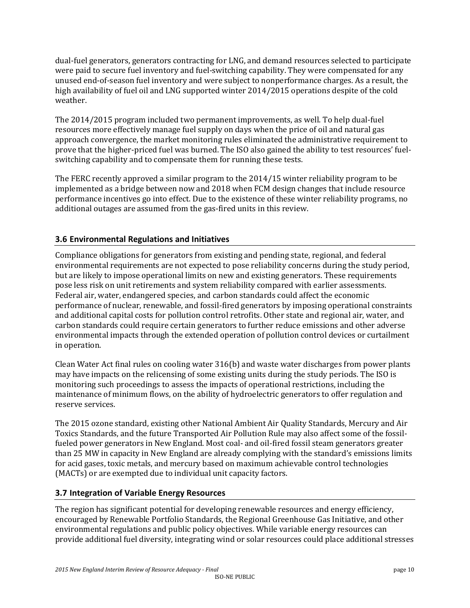dual-fuel generators, generators contracting for LNG, and demand resources selected to participate were paid to secure fuel inventory and fuel-switching capability. They were compensated for any unused end-of-season fuel inventory and were subject to nonperformance charges. As a result, the high availability of fuel oil and LNG supported winter 2014/2015 operations despite of the cold weather.

The 2014/2015 program included two permanent improvements, as well. To help dual-fuel resources more effectively manage fuel supply on days when the price of oil and natural gas approach convergence, the market monitoring rules eliminated the administrative requirement to prove that the higher-priced fuel was burned. The ISO also gained the ability to test resources' fuelswitching capability and to compensate them for running these tests.

The FERC recently approved a similar program to the 2014/15 winter reliability program to be implemented as a bridge between now and 2018 when FCM design changes that include resource performance incentives go into effect. Due to the existence of these winter reliability programs, no additional outages are assumed from the gas-fired units in this review.

### **3.6 Environmental Regulations and Initiatives**

Compliance obligations for generators from existing and pending state, regional, and federal environmental requirements are not expected to pose reliability concerns during the study period, but are likely to impose operational limits on new and existing generators. These requirements pose less risk on unit retirements and system reliability compared with earlier assessments. Federal air, water, endangered species, and carbon standards could affect the economic performance of nuclear, renewable, and fossil-fired generators by imposing operational constraints and additional capital costs for pollution control retrofits. Other state and regional air, water, and carbon standards could require certain generators to further reduce emissions and other adverse environmental impacts through the extended operation of pollution control devices or curtailment in operation.

Clean Water Act final rules on cooling water 316(b) and waste water discharges from power plants may have impacts on the relicensing of some existing units during the study periods. The ISO is monitoring such proceedings to assess the impacts of operational restrictions, including the maintenance of minimum flows, on the ability of hydroelectric generators to offer regulation and reserve services.

The 2015 ozone standard, existing other National Ambient Air Quality Standards, Mercury and Air Toxics Standards, and the future Transported Air Pollution Rule may also affect some of the fossilfueled power generators in New England. Most coal- and oil-fired fossil steam generators greater than 25 MW in capacity in New England are already complying with the standard's emissions limits for acid gases, toxic metals, and mercury based on maximum achievable control technologies (MACTs) or are exempted due to individual unit capacity factors.

#### **3.7 Integration of Variable Energy Resources**

The region has significant potential for developing renewable resources and energy efficiency, encouraged by Renewable Portfolio Standards, the Regional Greenhouse Gas Initiative, and other environmental regulations and public policy objectives. While variable energy resources can provide additional fuel diversity, integrating wind or solar resources could place additional stresses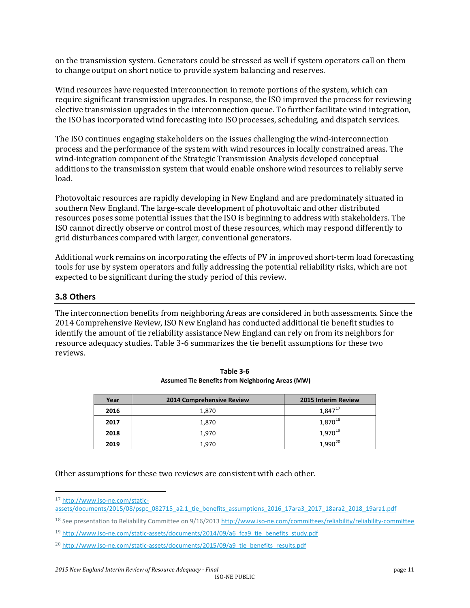on the transmission system. Generators could be stressed as well if system operators call on them to change output on short notice to provide system balancing and reserves.

Wind resources have requested interconnection in remote portions of the system, which can require significant transmission upgrades. In response, the ISO improved the process for reviewing elective transmission upgrades in the interconnection queue. To further facilitate wind integration, the ISO has incorporated wind forecasting into ISO processes, scheduling, and dispatch services.

The ISO continues engaging stakeholders on the issues challenging the wind-interconnection process and the performance of the system with wind resources in locally constrained areas. The wind-integration component of the Strategic Transmission Analysis developed conceptual additions to the transmission system that would enable onshore wind resources to reliably serve load.

Photovoltaic resources are rapidly developing in New England and are predominately situated in southern New England. The large-scale development of photovoltaic and other distributed resources poses some potential issues that the ISO is beginning to address with stakeholders. The ISO cannot directly observe or control most of these resources, which may respond differently to grid disturbances compared with larger, conventional generators.

Additional work remains on incorporating the effects of PV in improved short-term load forecasting tools for use by system operators and fully addressing the potential reliability risks, which are not expected to be significant during the study period of this review.

#### **3.8 Others**

The interconnection benefits from neighboring Areas are considered in both assessments. Since the 2014 Comprehensive Review, ISO New England has conducted additional tie benefit studies to identify the amount of tie reliability assistance New England can rely on from its neighbors for resource adequacy studies. Table 3-6 summarizes the tie benefit assumptions for these two reviews.

| Year | 2014 Comprehensive Review | <b>2015 Interim Review</b> |
|------|---------------------------|----------------------------|
| 2016 | 1,870                     | 1,847 <sup>17</sup>        |
| 2017 | 1,870                     | 1,870 <sup>18</sup>        |
| 2018 | 1.970                     | 1,970 <sup>19</sup>        |
| 2019 | 1,970                     | 1.990 $^{20}$              |

**Table 3-6 Assumed Tie Benefits from Neighboring Areas (MW)**

Other assumptions for these two reviews are consistent with each other.

<span id="page-10-0"></span> <sup>17</sup> [http://www.iso-ne.com/static-](http://www.iso-ne.com/static-assets/documents/2015/08/pspc_082715_a2.1_tie_benefits_assumptions_2016_17ara3_2017_18ara2_2018_19ara1.pdf)

[assets/documents/2015/08/pspc\\_082715\\_a2.1\\_tie\\_benefits\\_assumptions\\_2016\\_17ara3\\_2017\\_18ara2\\_2018\\_19ara1.pdf](http://www.iso-ne.com/static-assets/documents/2015/08/pspc_082715_a2.1_tie_benefits_assumptions_2016_17ara3_2017_18ara2_2018_19ara1.pdf)

<span id="page-10-1"></span><sup>&</sup>lt;sup>18</sup> See presentation to Reliability Committee on 9/16/201[3 http://www.iso-ne.com/committees/reliability/reliability-committee](http://www.iso-ne.com/committees/comm_wkgrps/relblty_comm/pwrsuppln_comm/mtrls/2011/sep152011/index.html)

<span id="page-10-2"></span><sup>19</sup> [http://www.iso-ne.com/static-assets/documents/2014/09/a6\\_fca9\\_tie\\_benefits\\_study.pdf](http://www.iso-ne.com/static-assets/documents/2014/09/a6_fca9_tie_benefits_study.pdf)

<span id="page-10-3"></span><sup>&</sup>lt;sup>20</sup> [http://www.iso-ne.com/static-assets/documents/2015/09/a9\\_tie\\_benefits\\_results.pdf](http://www.iso-ne.com/committees/comm_wkgrps/relblty_comm/pwrsuppln_comm/mtrls/2012/jun142012/2016_fca_tie_benefits_study.pdf)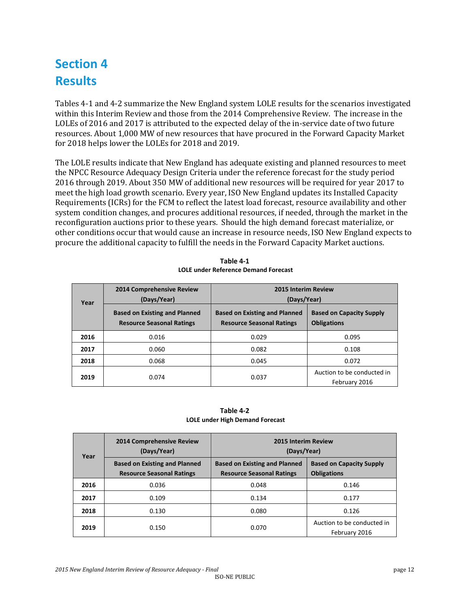# **Section 4 Results**

Tables 4-1 and 4-2 summarize the New England system LOLE results for the scenarios investigated within this Interim Review and those from the 2014 Comprehensive Review. The increase in the LOLEs of 2016 and 2017 is attributed to the expected delay of the in-service date of two future resources. About 1,000 MW of new resources that have procured in the Forward Capacity Market for 2018 helps lower the LOLEs for 2018 and 2019.

The LOLE results indicate that New England has adequate existing and planned resources to meet the NPCC Resource Adequacy Design Criteria under the reference forecast for the study period 2016 through 2019. About 350 MW of additional new resources will be required for year 2017 to meet the high load growth scenario. Every year, ISO New England updates its Installed Capacity Requirements (ICRs) for the FCM to reflect the latest load forecast, resource availability and other system condition changes, and procures additional resources, if needed, through the market in the reconfiguration auctions prior to these years. Should the high demand forecast materialize, or other conditions occur that would cause an increase in resource needs, ISO New England expects to procure the additional capacity to fulfill the needs in the Forward Capacity Market auctions.

| Year | 2014 Comprehensive Review<br>(Days/Year)                                 | 2015 Interim Review<br>(Days/Year)                                       |                                                       |
|------|--------------------------------------------------------------------------|--------------------------------------------------------------------------|-------------------------------------------------------|
|      | <b>Based on Existing and Planned</b><br><b>Resource Seasonal Ratings</b> | <b>Based on Existing and Planned</b><br><b>Resource Seasonal Ratings</b> | <b>Based on Capacity Supply</b><br><b>Obligations</b> |
| 2016 | 0.016                                                                    | 0.029                                                                    | 0.095                                                 |
| 2017 | 0.060                                                                    | 0.082                                                                    | 0.108                                                 |
| 2018 | 0.068                                                                    | 0.045                                                                    | 0.072                                                 |
| 2019 | 0.074                                                                    | 0.037                                                                    | Auction to be conducted in<br>February 2016           |

**Table 4-1 LOLE under Reference Demand Forecast**

**Table 4-2 LOLE under High Demand Forecast**

| Year | <b>2014 Comprehensive Review</b><br>(Days/Year)                          | <b>2015 Interim Review</b><br>(Days/Year)                                |                                                       |
|------|--------------------------------------------------------------------------|--------------------------------------------------------------------------|-------------------------------------------------------|
|      | <b>Based on Existing and Planned</b><br><b>Resource Seasonal Ratings</b> | <b>Based on Existing and Planned</b><br><b>Resource Seasonal Ratings</b> | <b>Based on Capacity Supply</b><br><b>Obligations</b> |
| 2016 | 0.036                                                                    | 0.048                                                                    | 0.146                                                 |
| 2017 | 0.109                                                                    | 0.134                                                                    | 0.177                                                 |
| 2018 | 0.130                                                                    | 0.080                                                                    | 0.126                                                 |
| 2019 | 0.150                                                                    | 0.070                                                                    | Auction to be conducted in<br>February 2016           |